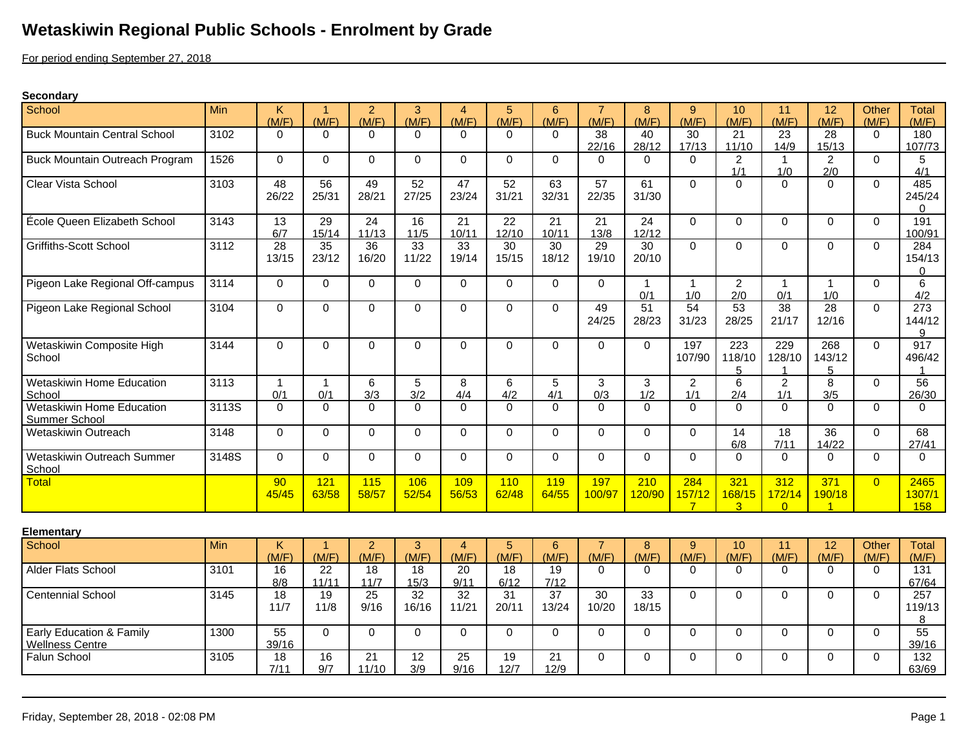## **Wetaskiwin Regional Public Schools - Enrolment by Grade**

For period ending September 27, 2018

## **Secondary**

| School                              | Min   | K.       |             | $\overline{2}$ | 3     | 4        | 5        | 6           | $\overline{7}$ | 8        | 9              | 10             | 11                 | 12             | Other    | <b>Total</b>  |
|-------------------------------------|-------|----------|-------------|----------------|-------|----------|----------|-------------|----------------|----------|----------------|----------------|--------------------|----------------|----------|---------------|
|                                     |       | (M/F)    | (M/F)       | (M/F)          | (M/F) | (M/F)    | (M/F)    | (M/F)       | (M/F)          | (M/F)    | (M/F)          | (M/F)          | (M/F)              | (M/F)          | (M/F)    | (M/F)         |
| <b>Buck Mountain Central School</b> | 3102  | $\Omega$ | $\Omega$    | 0              | 0     | $\Omega$ | $\Omega$ | $\Omega$    | 38             | 40       | 30             | 21             | 23                 | 28             | $\Omega$ | 180           |
|                                     |       |          |             |                |       |          |          |             | 22/16          | 28/12    | 17/13          | 11/10          | 14/9               | 15/13          |          | 107/73        |
| Buck Mountain Outreach Program      | 1526  | $\Omega$ | $\Omega$    | 0              | 0     | $\Omega$ | $\Omega$ | $\Omega$    | 0              | $\Omega$ | $\Omega$       | $\overline{c}$ |                    | $\overline{2}$ | $\Omega$ | 5             |
|                                     |       |          |             |                |       |          |          |             |                |          |                | 1/1            | 1/0                | 2/0            |          | 4/1           |
| Clear Vista School                  | 3103  | 48       | 56          | 49             | 52    | 47       | 52       | 63          | 57             | 61       | $\Omega$       | $\Omega$       | $\Omega$           | $\Omega$       | $\Omega$ | 485           |
|                                     |       | 26/22    | 25/31       | 28/21          | 27/25 | 23/24    | 31/21    | 32/31       | 22/35          | 31/30    |                |                |                    |                |          | 245/24        |
|                                     |       |          |             |                |       |          |          |             |                |          |                |                |                    |                |          |               |
| École Queen Elizabeth School        | 3143  | 13       | 29          | 24             | 16    | 21       | 22       | 21          | 21             | 24       | $\Omega$       | $\Omega$       | 0                  | $\Omega$       | $\Omega$ | 191           |
|                                     |       | 6/7      | 15/14       | 11/13          | 11/5  | 10/11    | 12/10    | 10/11       | 13/8           | 12/12    |                |                |                    |                |          | 100/91        |
| <b>Griffiths-Scott School</b>       | 3112  | 28       | 35          | 36             | 33    | 33       | 30       | 30          | 29             | 30       | $\Omega$       | $\mathbf 0$    | $\overline{0}$     | $\Omega$       | $\Omega$ | 284           |
|                                     |       | 13/15    | 23/12       | 16/20          | 11/22 | 19/14    | 15/15    | 18/12       | 19/10          | 20/10    |                |                |                    |                |          | 154/13        |
| Pigeon Lake Regional Off-campus     | 3114  | 0        | $\Omega$    | 0              | 0     | $\Omega$ | $\Omega$ | $\Omega$    | $\Omega$       | -1       | 1              | $\overline{2}$ | 1                  | -1             | $\Omega$ | $\Omega$<br>6 |
|                                     |       |          |             |                |       |          |          |             |                | 0/1      | 1/0            | 2/0            | 0/1                | 1/0            |          | 4/2           |
| Pigeon Lake Regional School         | 3104  | $\Omega$ | $\Omega$    | 0              | 0     | $\Omega$ | $\Omega$ | $\Omega$    | 49             | 51       | 54             | 53             | 38                 | 28             | $\Omega$ | 273           |
|                                     |       |          |             |                |       |          |          |             | 24/25          | 28/23    | 31/23          | 28/25          | 21/17              | 12/16          |          | 144/12        |
|                                     |       |          |             |                |       |          |          |             |                |          |                |                |                    |                |          | 9             |
| Wetaskiwin Composite High           | 3144  | $\Omega$ | $\mathbf 0$ | 0              | 0     | $\Omega$ | 0        | $\mathbf 0$ | 0              | 0        | 197            | 223            | 229                | 268            | $\Omega$ | 917           |
| School                              |       |          |             |                |       |          |          |             |                |          | 107/90         | 118/10         | 128/10             | 143/12         |          | 496/42        |
|                                     |       |          |             |                |       |          |          |             |                |          |                | 5              |                    | 5              |          |               |
| <b>Wetaskiwin Home Education</b>    | 3113  |          |             | 6              | 5     | 8        | 6        | 5           | 3              | 3        | $\overline{2}$ | 6              | $\overline{2}$     | 8              | $\Omega$ | 56            |
| School                              |       | 0/1      | 0/1         | 3/3            | 3/2   | 4/4      | 4/2      | 4/1         | 0/3            | 1/2      | 1/1            | 2/4            | 1/1                | 3/5            |          | 26/30         |
| Wetaskiwin Home Education           | 3113S | $\Omega$ | $\Omega$    | 0              | 0     | $\Omega$ | $\Omega$ | $\Omega$    | $\Omega$       | $\Omega$ | $\Omega$       | $\Omega$       | 0                  | $\Omega$       | $\Omega$ | 0             |
| <b>Summer School</b>                |       |          |             |                |       |          |          |             |                |          |                |                |                    |                |          |               |
| Wetaskiwin Outreach                 | 3148  | $\Omega$ | $\Omega$    | 0              | 0     | $\Omega$ | $\Omega$ | $\Omega$    | $\Omega$       | $\Omega$ | $\mathbf 0$    | 14             | 18                 | 36             | $\Omega$ | 68            |
|                                     |       |          |             |                |       |          |          |             |                |          |                | 6/8            | 7/11               | 14/22          |          | 27/41         |
| <b>Wetaskiwin Outreach Summer</b>   | 3148S | $\Omega$ | $\Omega$    | 0              | 0     | $\Omega$ | $\Omega$ | $\Omega$    | $\Omega$       | $\Omega$ | $\Omega$       | $\Omega$       | $\Omega$           | $\Omega$       | $\Omega$ | $\Omega$      |
| School                              |       |          |             |                |       |          |          |             |                |          |                |                |                    |                |          |               |
| Total                               |       | 90       | 121         | 115            | 106   | 109      | 110      | 119         | 197            | 210      | 284            | 321            | 312                | 371            | $\Omega$ | 2465          |
|                                     |       | 45/45    | 63/58       | 58/57          | 52/54 | 56/53    | 62/48    | 64/55       | 100/97         | 120/90   | 157/12         | 168/15<br>3    | 172/14<br>$\Omega$ | 190/18         |          | 1307/1<br>158 |
|                                     |       |          |             |                |       |          |          |             |                |          |                |                |                    |                |          |               |

| Elementary                          |            |       |       |       |       |       |       |       |       |       |       |       |       |       |       |              |
|-------------------------------------|------------|-------|-------|-------|-------|-------|-------|-------|-------|-------|-------|-------|-------|-------|-------|--------------|
| School                              | <b>Min</b> |       |       |       |       |       |       |       |       | o     | У     | 10    |       | 12    | Other | <b>Total</b> |
|                                     |            | (M/F) | (M/F) | (M/F) | (M/F) | (M/F) | (M/F) | (M/F) | (M/F) | (M/F) | (M/F) | (M/F) | (M/F) | (M/F) | (M/F) | (M/F)        |
| <b>Alder Flats School</b>           | 3101       | 16    | 22    | 18    | 18    | 20    | 18    | 19    |       | U     | 0     |       |       |       |       | 131          |
|                                     |            | 8/8   | 11/11 | 11/7  | 15/3  | 9/1   | 6/12  | 7/12  |       |       |       |       |       |       |       | 67/64        |
| <b>Centennial School</b>            | 3145       | 18    | 19    | 25    | 32    | 32    | 31    | 37    | 30    | 33    | 0     |       |       |       |       | 257          |
|                                     |            | 11/7  | 11/8  | 9/16  | 16/16 | 11/21 | 20/11 | 13/24 | 10/20 | 18/15 |       |       |       |       |       | 119/13       |
|                                     |            |       |       |       |       |       |       |       |       |       |       |       |       |       |       |              |
| <b>Early Education &amp; Family</b> | 1300       | 55    | U     |       |       |       |       |       |       | U     |       |       |       |       |       | 55           |
| <b>Wellness Centre</b>              |            | 39/16 |       |       |       |       |       |       |       |       |       |       |       |       |       | 39/16        |
| Falun School                        | 3105       | 18    | 16    | 21    | 12    | 25    | 19    | ິ     |       | U     |       |       |       |       |       | 132          |
|                                     |            | 7/11  | 9/7   | 11/10 | 3/9   | 9/16  | 12/7  | 12/9  |       |       |       |       |       |       |       | 63/69        |